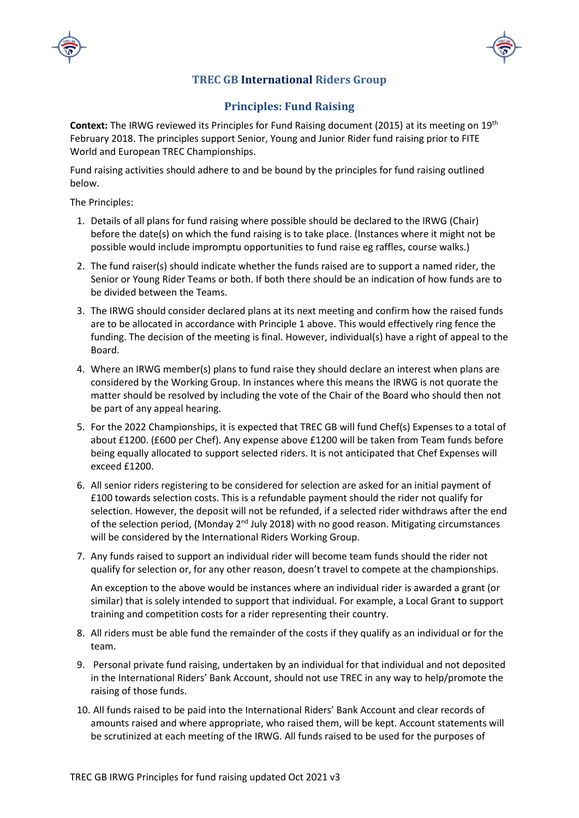



## **TREC GB International Riders Group**

## **Principles: Fund Raising**

**Context:** The IRWG reviewed its Principles for Fund Raising document (2015) at its meeting on 19th February 2018. The principles support Senior, Young and Junior Rider fund raising prior to FITE World and European TREC Championships.

Fund raising activities should adhere to and be bound by the principles for fund raising outlined below.

The Principles:

- 1. Details of all plans for fund raising where possible should be declared to the IRWG (Chair) before the date(s) on which the fund raising is to take place. (Instances where it might not be possible would include impromptu opportunities to fund raise eg raffles, course walks.)
- 2. The fund raiser(s) should indicate whether the funds raised are to support a named rider, the Senior or Young Rider Teams or both. If both there should be an indication of how funds are to be divided between the Teams.
- 3. The IRWG should consider declared plans at its next meeting and confirm how the raised funds are to be allocated in accordance with Principle 1 above. This would effectively ring fence the funding. The decision of the meeting is final. However, individual(s) have a right of appeal to the Board.
- 4. Where an IRWG member(s) plans to fund raise they should declare an interest when plans are considered by the Working Group. In instances where this means the IRWG is not quorate the matter should be resolved by including the vote of the Chair of the Board who should then not be part of any appeal hearing.
- 5. For the 2022 Championships, it is expected that TREC GB will fund Chef(s) Expenses to a total of about £1200. (£600 per Chef). Any expense above £1200 will be taken from Team funds before being equally allocated to support selected riders. It is not anticipated that Chef Expenses will exceed £1200.
- 6. All senior riders registering to be considered for selection are asked for an initial payment of £100 towards selection costs. This is a refundable payment should the rider not qualify for selection. However, the deposit will not be refunded, if a selected rider withdraws after the end of the selection period, (Monday 2<sup>nd</sup> July 2018) with no good reason. Mitigating circumstances will be considered by the International Riders Working Group.
- 7. Any funds raised to support an individual rider will become team funds should the rider not qualify for selection or, for any other reason, doesn't travel to compete at the championships.

An exception to the above would be instances where an individual rider is awarded a grant (or similar) that is solely intended to support that individual. For example, a Local Grant to support training and competition costs for a rider representing their country.

- 8. All riders must be able fund the remainder of the costs if they qualify as an individual or for the team.
- 9. Personal private fund raising, undertaken by an individual for that individual and not deposited in the International Riders' Bank Account, should not use TREC in any way to help/promote the raising of those funds.
- 10. All funds raised to be paid into the International Riders' Bank Account and clear records of amounts raised and where appropriate, who raised them, will be kept. Account statements will be scrutinized at each meeting of the IRWG. All funds raised to be used for the purposes of